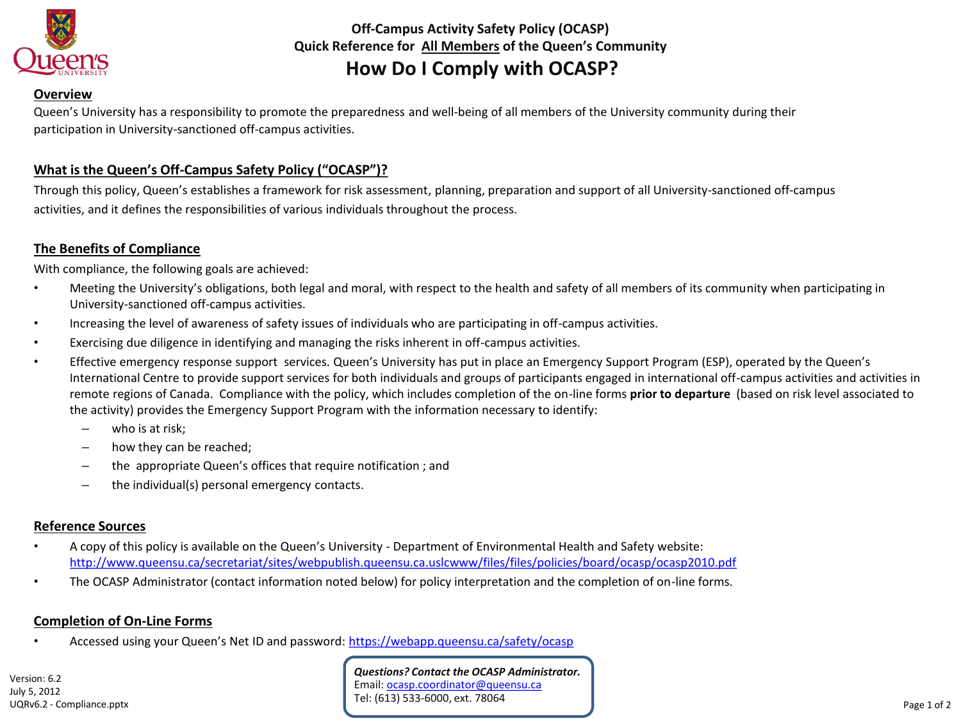

**Off-Campus Activity Safety Policy (OCASP) Quick Reference for All Members of the Queen's Community How Do I Comply with OCASP?**

#### **Overview**

Queen's University has a responsibility to promote the preparedness and well-being of all members of the University community during their participation in University-sanctioned off-campus activities.

## **What is the Queen's Off-Campus Safety Policy ("OCASP")?**

Through this policy, Queen's establishes a framework for risk assessment, planning, preparation and support of all University-sanctioned off-campus activities, and it defines the responsibilities of various individuals throughout the process.

## **The Benefits of Compliance**

With compliance, the following goals are achieved:

- Meeting the University's obligations, both legal and moral, with respect to the health and safety of all members of its community when participating in University-sanctioned off-campus activities.
- Increasing the level of awareness of safety issues of individuals who are participating in off-campus activities.
- Exercising due diligence in identifying and managing the risks inherent in off-campus activities.
- Effective emergency response support services. Queen's University has put in place an Emergency Support Program (ESP), operated by the Queen's International Centre to provide support services for both individuals and groups of participants engaged in international off-campus activities and activities in remote regions of Canada. Compliance with the policy, which includes completion of the on-line forms **prior to departure** (based on risk level associated to the activity) provides the Emergency Support Program with the information necessary to identify:
	- who is at risk;
	- how they can be reached;
	- the appropriate Queen's offices that require notification ; and
	- the individual(s) personal emergency contacts.

### **Reference Sources**

- A copy of this policy is available on the Queen's University Department of Environmental Health and Safety website: <http://www.queensu.ca/secretariat/sites/webpublish.queensu.ca.uslcwww/files/files/policies/board/ocasp/ocasp2010.pdf>
- The OCASP Administrator (contact information noted below) for policy interpretation and the completion of on-line forms.

#### **Completion of On-Line Forms**

Accessed using your Queen's Net ID and password: <https://webapp.queensu.ca/safety/ocasp>

*Questions? Contact the OCASP Administrator.* Email: [ocasp.coordinator@queensu.ca](mailto:ocasp.coordinator@queensu.ca) Tel: (613) 533-6000, ext. 78064